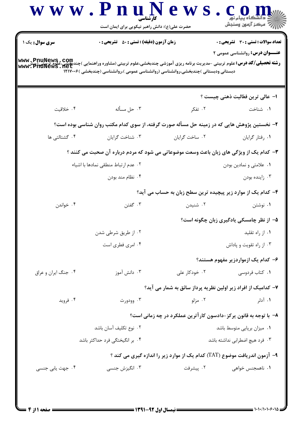| سری سوال: یک ۱                 | <b>زمان آزمون (دقیقه) : تستی : 50 ٪ تشریحی : 0</b>                                                                                                                                                                                             |                                                                            | تعداد سوالات : تستى : 30 - تشريحي : 0    |
|--------------------------------|------------------------------------------------------------------------------------------------------------------------------------------------------------------------------------------------------------------------------------------------|----------------------------------------------------------------------------|------------------------------------------|
|                                | <b>رشته تحصیلی/کد درس: ع</b> لوم تربیتی -مدیریت برنامه ریزی آموزشی چندبخشی،علوم تربیتی (مشاوره وراهنمایی )چندبچشی،علوم تربیتی (بیش<br>www. PnuNews . net<br>دبستانی ودبستانی )چندبخشی،روانشناسی (روانشناسی عمومی )،روانشناسی (چندبخشی )۱۲۱۷۰۰۶ |                                                                            | <b>عنـــوان درس:</b> روانشناسی عمومی ۲   |
|                                |                                                                                                                                                                                                                                                |                                                                            | ا– عالى ترين فعّاليت ذهني چيست ؟         |
| ۰۴ خلاقیت                      | ۰۳ حل مسأله                                                                                                                                                                                                                                    | ۰۲ تفکر                                                                    | ٠١ شناخت                                 |
|                                | ۲- نخستین پژوهش هایی که در زمینه حل مسأله صورت گرفته، از سوی کدام مکتب روان شناسی بوده است؟                                                                                                                                                    |                                                                            |                                          |
| ۰۴ گشتالتی ها                  | ۰۳ شناخت گرایان                                                                                                                                                                                                                                | ۰۲ ساخت گرایان                                                             | ٠١ رفتار گرايان                          |
|                                | ۳- کدام یک از ویژگی های زبان باعث وسعت موضوعاتی می شود که مردم درباره آن صحبت می کنند ؟                                                                                                                                                        |                                                                            |                                          |
|                                | ۰۲ عدم ارتباط منطقی نمادها با اشیاء                                                                                                                                                                                                            |                                                                            | ۰۱ علامتی و نمادین بودن                  |
|                                | ۰۴ نظام مند بودن                                                                                                                                                                                                                               |                                                                            | ۰۳ زاينده بودن                           |
|                                |                                                                                                                                                                                                                                                | ۴– کدام یک از موارد زیر پیچیده ترین سطح زبان به حساب می آید؟               |                                          |
| ۰۴ خواندن                      | ۰۳ گفتن                                                                                                                                                                                                                                        | ۰۲ شنیدن                                                                   | ۰۱ نوشتن                                 |
|                                |                                                                                                                                                                                                                                                |                                                                            | ۵– از نظر چامسکی یادگیری زبان چگونه است؟ |
|                                | ۰۲ از طریق شرطی شدن                                                                                                                                                                                                                            |                                                                            | ۰۱ از راه تقلید                          |
|                                | ۰۴ امری فطری است                                                                                                                                                                                                                               |                                                                            | ۰۳ از راه تقویت و پاداش                  |
|                                |                                                                                                                                                                                                                                                |                                                                            | ۶– کدام یک ازمواردزیر مفهوم هستند؟       |
| ۰۴ جنگ ايران و عراق            | ۰۳ دانش آموز                                                                                                                                                                                                                                   | ۰۲ خودکار علی                                                              | ۰۱ كتاب فردوسى                           |
|                                |                                                                                                                                                                                                                                                | ۷– کدامیک از افراد زیر اولین نظریه پرداز سائق به شمار می آید؟              |                                          |
| ۰۴ فروید                       | ۰۳ وودورث                                                                                                                                                                                                                                      | ۰۲ مزلو                                                                    | ۰۱ آدلر                                  |
|                                |                                                                                                                                                                                                                                                | ٨– با توجه به قانون پرکز-دادسون کارآترین عملکرد در چه زمانی است؟           |                                          |
| ٠٢ نوع تكليف آسان باشد         |                                                                                                                                                                                                                                                |                                                                            | ٠١ ميزان برپايي متوسط باشد               |
| ۰۴ بر انگیختگی فرد حداکثر باشد |                                                                                                                                                                                                                                                | ۰۳ فرد هيچ اضطرابي نداشته باشد                                             |                                          |
|                                |                                                                                                                                                                                                                                                | ۹- آزمون اندریافت موضوع (TAT) کدام یک از موارد زیر را اندازه گیری می کند ؟ |                                          |
| ۰۴ جهت یابی جنسی               | ۰۳ انگیزش جنسی                                                                                                                                                                                                                                 | ۰۲ پیشرفت                                                                  | ۰۱ ناهمجنس خواهی                         |

and the state

 $\mathbf \Delta$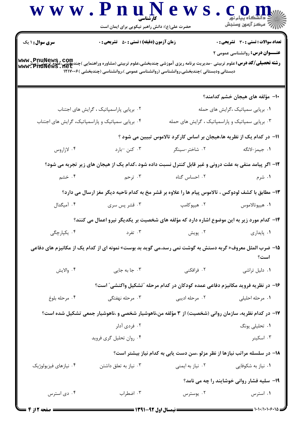|                        | حضرت علی(ع): دانش راهبر نیکویی برای ایمان است                                                            |                                                                                |                                                    |
|------------------------|----------------------------------------------------------------------------------------------------------|--------------------------------------------------------------------------------|----------------------------------------------------|
| <b>سری سوال :</b> ۱ یک | <b>زمان آزمون (دقیقه) : تستی : 50 ٪ تشریحی : 0</b>                                                       |                                                                                | <b>تعداد سوالات : تستی : 30 ٪ تشریحی : 0</b>       |
|                        | دبستانی ودبستانی )چندبخشی،روانشناسی (روانشناسی عمومی )،روانشناسی (چندبخشی )۱۲۱۷۰۰۶                       |                                                                                | <b>عنـــوان درس:</b> روانشناسی عمومی ۲             |
|                        |                                                                                                          |                                                                                | ۱۰– مؤلفه های هیجان خشم کدامند؟                    |
|                        | ۰۲ برپایی پاراسمپاتیک ، گرایش های اجتناب                                                                 |                                                                                | ۰۱ برپایی سمپاتیک ،گرایش های حمله                  |
|                        | ۰۴ برپایی سمپاتیک و پاراسمپاتیک، گرایش های اجتناب                                                        | ۰۳ برپایی سمپاتیک و پاراسمپاتیک ، گرایش های حمله                               |                                                    |
|                        |                                                                                                          | 1۱– در کدام یک از نظریه ها،هیجان بر اساس کارکرد تالاموس تبیین می شود ؟         |                                                    |
| ۰۴ لازاروس             | ۰۳ کنن -بارد                                                                                             | ۰۲ شاختر-سینگر                                                                 | ۰۱ جیمز-لانگه                                      |
|                        | ۱۲- اگر پیامد منفی به علت درونی و غیر قابل کنترل نسبت داده شود ،کدام یک از هیجان های زیر تجربه می شود؟   |                                                                                |                                                    |
| ۰۴ خشم                 | ۰۳ ترحم                                                                                                  | ۰۲ احساس گناه                                                                  | ۰۱ شرم                                             |
|                        | ۱۳- مطابق با کشف لودوکس ، تالاموس پیام ها را علاوه بر قشر مخ به کدام ناحیه دیگر مغز ارسال می دارد؟       |                                                                                |                                                    |
| ۰۴ آمیگدال             | ۰۳ قشر پس سری                                                                                            | ۰۲ هیپوکامپ                                                                    | ٠١ هيپوتالاموس                                     |
|                        | ۱۴- کدام مورد زیر به این موضوع اشاره دارد که مؤلفه های شخصیت بر یکدیگر نیرو اعمال می کنند؟               |                                                                                |                                                    |
| ۰۴ يکپارچگ <i>ي</i>    | ۰۳ تفرد                                                                                                  | ۰۲ پویش                                                                        | ۰۱ پایداری                                         |
|                        | ۱۵– ضرب المثل معروف« گربه دستش به گوشت نمی رسد،می گوید بد بوست» نمونه ای از کدام یک از مکانیزم های دفاعی |                                                                                | است؟                                               |
| ۰۴ والايش              | ۰۳ جا به جایی                                                                                            | ۰۲ فرافکنی                                                                     | ٠١ دليل تراشى                                      |
|                        |                                                                                                          | ۱۶– در نظریه فروید مکانیزم دفاعی عمده کودکان در کدام مرحله "تشکیل واکنشی" است؟ |                                                    |
| ۰۴ مرحله بلوغ          | ۰۳ مرحله نهفتگی                                                                                          | ۰۲ مرحله اديبي                                                                 | ۰۱ مرحله احلیلی                                    |
|                        | ۱۷– در کدام نظریه، سازمان روانی (شخصیت) از ۳ مؤلفه من،ناهوشیار شخصی و ،ناهوشیار جمعی تشکیل شده است؟      |                                                                                |                                                    |
|                        | ۰۲ فردی آدلر                                                                                             |                                                                                | ۰۱ تحلیلی یونگ                                     |
|                        | ۰۴ روان تحليل گري فرويد                                                                                  |                                                                                | ۰۳ اسکینر                                          |
|                        |                                                                                                          | ۱۸- در سلسله مراتب نیازها از نظر مزلو ،سن دست یابی به کدام نیاز بیشتر است؟     |                                                    |
| ۰۴ نیازهای فیزیولوژیک  | ۰۳ نیاز به تعلق داشتن                                                                                    | ۰۲ نیاز به ایمنی                                                               | ۰۱ نیاز به شکوفایی                                 |
|                        |                                                                                                          |                                                                                | <b>۱۹</b> - سلیه فشار روانی خوشایند را چه می نامد؟ |
| ۰۴ دی استرس            | ۰۳ اضطراب                                                                                                | ۰۲ يوسترس                                                                      | ٠١ استرس                                           |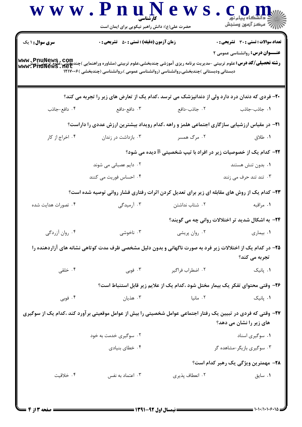| <b>سری سوال :</b> ۱ یک | <b>زمان آزمون (دقیقه) : تستی : 50 ٪ تشریحی : 0</b>                                 |                  | <b>تعداد سوالات : تستی : 30 ٪ تشریحی : 0</b>                                                                                                                                              |
|------------------------|------------------------------------------------------------------------------------|------------------|-------------------------------------------------------------------------------------------------------------------------------------------------------------------------------------------|
|                        | دبستانی ودبستانی )چندبخشی،روانشناسی (روانشناسی عمومی )،روانشناسی (چندبخشی )۱۲۱۷۰۰۶ |                  | <b>عنـــوان درس:</b> روانشناسی عمومی ۲<br><b>رشته تحصیلی/کد درس:</b> علوم تربیتی -مدیریت برنامه ریزی آموزشی چندبخشی،علوم تربیتی (مشاوره وراهنمایی )چندبخشی،علومتری<br>WWW . PhuNewS . net |
|                        |                                                                                    |                  | +۲- فردی که دندان درد دارد ولی از دندانپزشک می ترسد ،کدام یک از تعارض های زیر را تجربه می کند؟                                                                                            |
| ۰۴ دافع-جاذب           | ۰۳ دافع-دافع                                                                       | ۰۲ جاذب-دافع     | 1. جاذب-جاذب                                                                                                                                                                              |
|                        |                                                                                    |                  | <b>۲۱</b> - در مقیاس ارزشیابی سازگاری اجتماعی هلمز و راهه ،کدام رویداد بیشترین ارزش عددی را داراست؟                                                                                       |
| ۰۴ اخراج از کار        | ۰۳ بازداشت در زندان                                                                | ۰۲ مرگ همسر      | ۰۱ طلاق                                                                                                                                                                                   |
|                        |                                                                                    |                  | <b>۲۲</b> - کدام یک از خصوصیات زیر در افراد با تیپ شخصیتی B دیده می شود؟                                                                                                                  |
|                        | ۰۲ دایم عصبانی می شوند                                                             |                  | ۰۱ بدون تنش هستند                                                                                                                                                                         |
|                        | ۰۴ احساس فوریت می کنند                                                             |                  | ۰۳ تند تند حرف می زنند                                                                                                                                                                    |
|                        |                                                                                    |                  | ۲۳- کدام یک از روش های مقابله ای زیر برای تعدیل کردن اثرات رفتاری فشار روانی توصیه شده است؟                                                                                               |
| ۰۴ تصورات هدایت شده    | ۰۳ آرمیدگی                                                                         | ۰۲ شتاب نداشتن   | ۰۱ مراقبه                                                                                                                                                                                 |
|                        |                                                                                    |                  | ۲۴- به اشکال شدید تر اختلالات روانی چه می گویند؟                                                                                                                                          |
| ۰۴ روان آزردگی         | ۰۳ ناخوشی                                                                          | ۰۲ روان پریشی    | ۰۱ بیماری است.                                                                                                                                                                            |
|                        |                                                                                    |                  | ۲۵– در کدام یک از اختلالات زیر فرد به صورت ناگهانی و بدون دلیل مشخصی ظرف مدت کوتاهی نشانه های آزاردهنده را<br>تجربه می کند؟                                                               |
| ۰۴ خلقی                | ۰۳ فوبی $\cdot$                                                                    | ۰۲ اضطراب فراگیر | ۰۱ یانیک                                                                                                                                                                                  |
|                        |                                                                                    |                  | ۲۶- وقتی محتوای تفکر یک بیمار مختل شود ،کدام یک از علایم زیر قابل استنباط است؟                                                                                                            |
| ۰۴ فوبی                | ۰۳ هذیان                                                                           | ۰۲ مانیا         | ۰۱ پانیک                                                                                                                                                                                  |
|                        |                                                                                    |                  | ۲۷- وقتی که فردی در تبیین یک رفتار اجتماعی عوامل شخصیتی را بیش از عوامل موقعیتی بر آورد کند ،کدام یک از سوگیری                                                                            |
|                        |                                                                                    |                  | های زیر را نشان می دهد؟                                                                                                                                                                   |
|                        | ۰۲ سوگیری خدمت به خود                                                              |                  | ۰۱ سوگیری اسناد                                                                                                                                                                           |
|                        | ۰۴ خطای بنیادی                                                                     |                  | ۰۳ سوگیری بازیگر-مشاهده گر                                                                                                                                                                |
|                        |                                                                                    |                  | <b>۲۸</b> - مهمترین ویژگی یک رهبر کدام است؟                                                                                                                                               |
| ۰۴ خلاقیت              | ۰۳ اعتماد به نفس                                                                   | ۰۲ انعطاف پذیری  | ٠١ سايق                                                                                                                                                                                   |

and the state

 $\mathbf T$